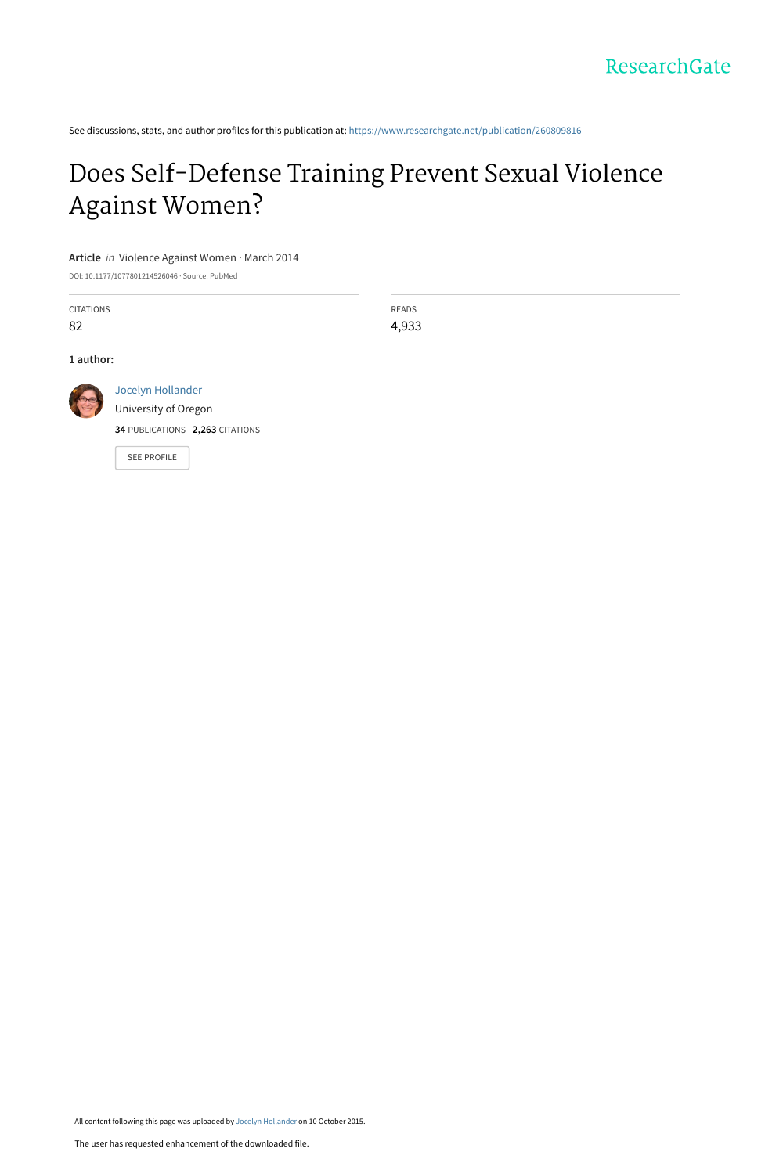See discussions, stats, and author profiles for this publication at: [https://www.researchgate.net/publication/260809816](https://www.researchgate.net/publication/260809816_Does_Self-Defense_Training_Prevent_Sexual_Violence_Against_Women?enrichId=rgreq-d2dab9a4682b4eaaf8ba204167a1bed7-XXX&enrichSource=Y292ZXJQYWdlOzI2MDgwOTgxNjtBUzoyODI4NjQ3Njg4MzE0ODhAMTQ0NDQ1MTYyNDE3Mg%3D%3D&el=1_x_2&_esc=publicationCoverPdf)

# [Does Self-Defense Training Prevent Sexual Violence](https://www.researchgate.net/publication/260809816_Does_Self-Defense_Training_Prevent_Sexual_Violence_Against_Women?enrichId=rgreq-d2dab9a4682b4eaaf8ba204167a1bed7-XXX&enrichSource=Y292ZXJQYWdlOzI2MDgwOTgxNjtBUzoyODI4NjQ3Njg4MzE0ODhAMTQ0NDQ1MTYyNDE3Mg%3D%3D&el=1_x_3&_esc=publicationCoverPdf) Against Women?

READS 4,933

**Article** in Violence Against Women · March 2014

DOI: 10.1177/1077801214526046 · Source: PubMed

CITATIONS 82

**1 author:**



[Jocelyn Hollander](https://www.researchgate.net/profile/Jocelyn-Hollander?enrichId=rgreq-d2dab9a4682b4eaaf8ba204167a1bed7-XXX&enrichSource=Y292ZXJQYWdlOzI2MDgwOTgxNjtBUzoyODI4NjQ3Njg4MzE0ODhAMTQ0NDQ1MTYyNDE3Mg%3D%3D&el=1_x_5&_esc=publicationCoverPdf) [University of Oregon](https://www.researchgate.net/institution/University-of-Oregon?enrichId=rgreq-d2dab9a4682b4eaaf8ba204167a1bed7-XXX&enrichSource=Y292ZXJQYWdlOzI2MDgwOTgxNjtBUzoyODI4NjQ3Njg4MzE0ODhAMTQ0NDQ1MTYyNDE3Mg%3D%3D&el=1_x_6&_esc=publicationCoverPdf) **34** PUBLICATIONS **2,263** CITATIONS

[SEE PROFILE](https://www.researchgate.net/profile/Jocelyn-Hollander?enrichId=rgreq-d2dab9a4682b4eaaf8ba204167a1bed7-XXX&enrichSource=Y292ZXJQYWdlOzI2MDgwOTgxNjtBUzoyODI4NjQ3Njg4MzE0ODhAMTQ0NDQ1MTYyNDE3Mg%3D%3D&el=1_x_7&_esc=publicationCoverPdf)

All content following this page was uploaded by [Jocelyn Hollander](https://www.researchgate.net/profile/Jocelyn-Hollander?enrichId=rgreq-d2dab9a4682b4eaaf8ba204167a1bed7-XXX&enrichSource=Y292ZXJQYWdlOzI2MDgwOTgxNjtBUzoyODI4NjQ3Njg4MzE0ODhAMTQ0NDQ1MTYyNDE3Mg%3D%3D&el=1_x_10&_esc=publicationCoverPdf) on 10 October 2015.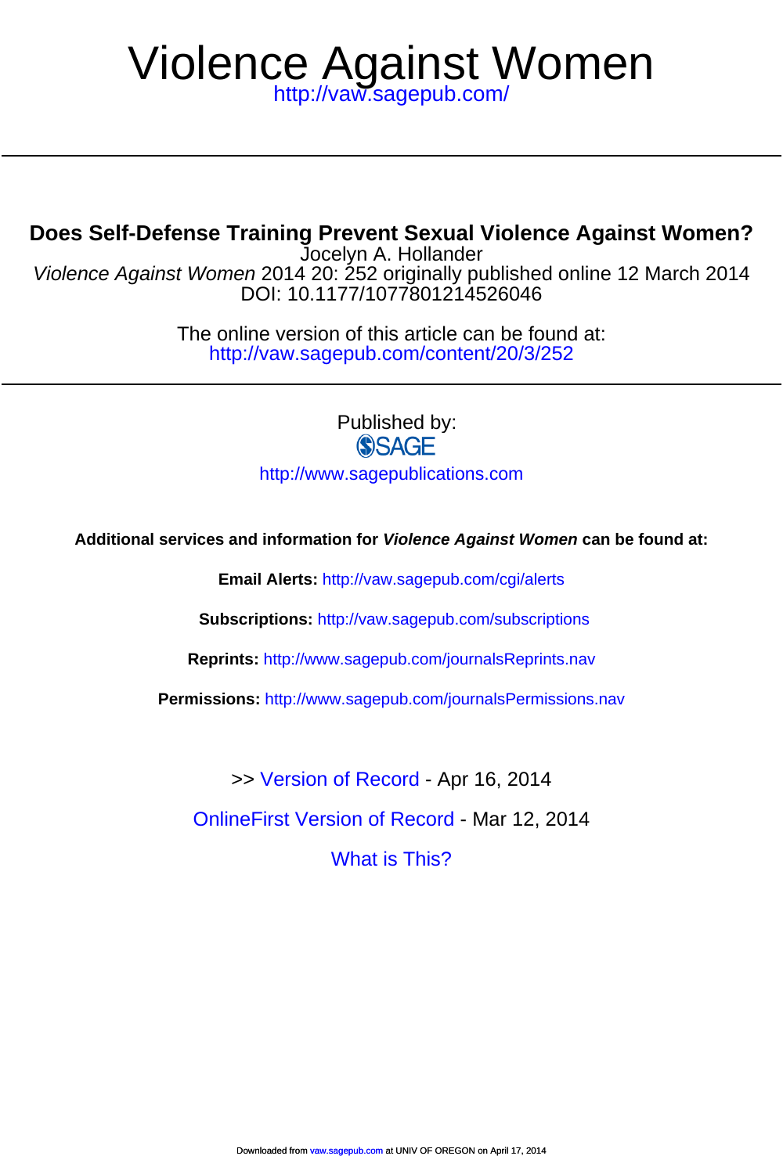# <http://vaw.sagepub.com/> Violence [Against Wom](http://vaw.sagepub.com/subscriptions)en

# **Does Self-Defense Training Prevent Sexual Violence Against Women?**

DOI: 10.1177/1077801214526046 Violence Against Women 2014 20: 252 originally published online 12 March 2014 Jocelyn A. Hollander

> <http://vaw.sagepub.com/content/20/3/252> The online version of this article can be found at:

> > [Published by:](http://vaw.sagepub.com/content/early/2014/03/11/1077801214526046.full.pdf)<br>
> > SAGE

<http://www.sagepublications.com>

**Additional services and information for Violence Against Women can be found at:**

**Email Alerts:** <http://vaw.sagepub.com/cgi/alerts>

**Subscriptions:** <http://vaw.sagepub.com/subscriptions>

**Reprints:** <http://www.sagepub.com/journalsReprints.nav>

**Permissions:** <http://www.sagepub.com/journalsPermissions.nav>

>> [Version of Record -](http://vaw.sagepub.com/content/20/3/252.full.pdf) Apr 16, 2014

[OnlineFirst Version of Record -](http://vaw.sagepub.com/content/early/2014/03/11/1077801214526046.full.pdf) Mar 12, 2014

[What is This?](http://online.sagepub.com/site/sphelp/vorhelp.xhtml)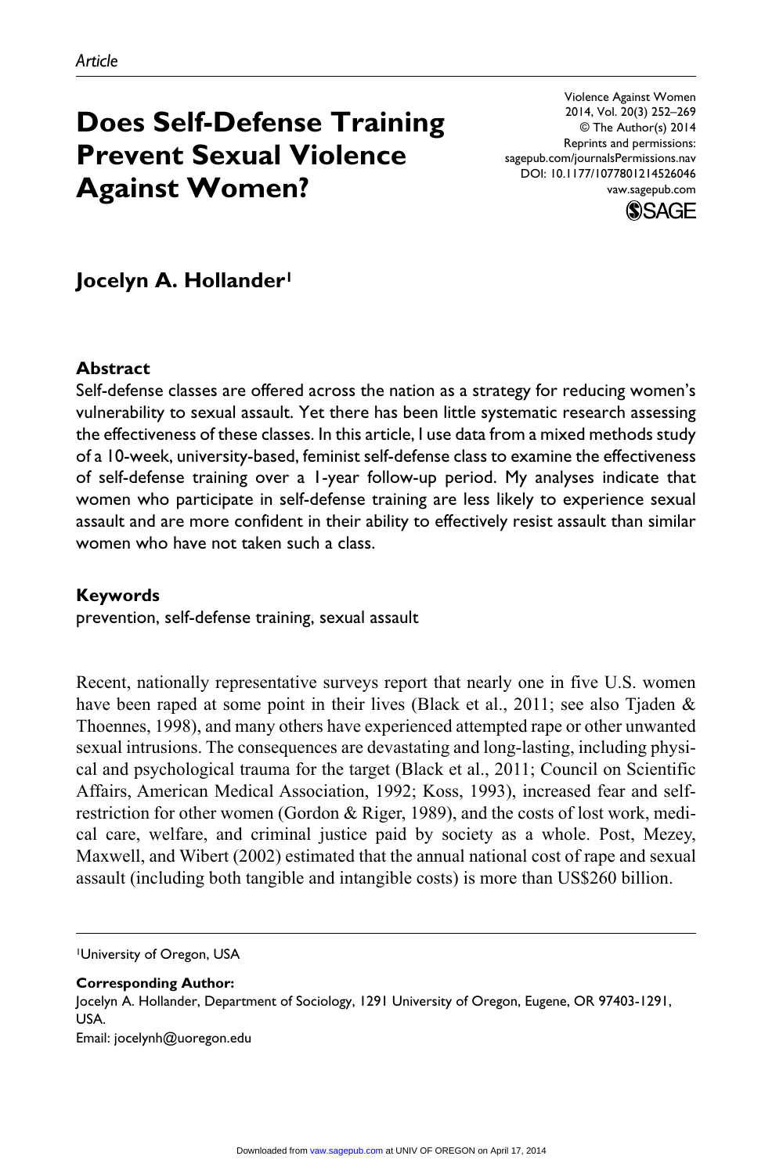# **Does Self-Defense Training Prevent Sexual Violence Against Women?**

Violence Against Women 2014, Vol. 20(3) 252–269 © The Author(s) 2014 Reprints and permissions: sagepub.com/journalsPermissions.nav DOI: 10.1177/1077801214526046 vaw.sagepub.com



**Jocelyn A. Hollander1**

### **Abstract**

Self-defense classes are offered across the nation as a strategy for reducing women's vulnerability to sexual assault. Yet there has been little systematic research assessing the effectiveness of these classes. In this article, I use data from a mixed methods study of a 10-week, university-based, feminist self-defense class to examine the effectiveness of self-defense training over a 1-year follow-up period. My analyses indicate that women who participate in self-defense training are less likely to experience sexual assault and are more confident in their ability to effectively resist assault than similar women who have not taken such a class.

## **Keywords**

prevention, self-defense training, sexual assault

Recent, nationally representative surveys report that nearly one in five U.S. women have been raped at some point in their lives (Black et al., 2011; see also Tjaden & Thoennes, 1998), and many others have experienced attempted rape or other unwanted sexual intrusions. The consequences are devastating and long-lasting, including physical and psychological trauma for the target (Black et al., 2011; Council on Scientific Affairs, American Medical Association, 1992; Koss, 1993), increased fear and selfrestriction for other women (Gordon & Riger, 1989), and the costs of lost work, medical care, welfare, and criminal justice paid by society as a whole. Post, Mezey, Maxwell, and Wibert (2002) estimated that the annual national cost of rape and sexual assault (including both tangible and intangible costs) is more than US\$260 billion.

1University of Oregon, USA

**Corresponding Author:** Jocelyn A. Hollander, Department of Sociology, 1291 University of Oregon, Eugene, OR 97403-1291, USA. Email: jocelynh@uoregon.edu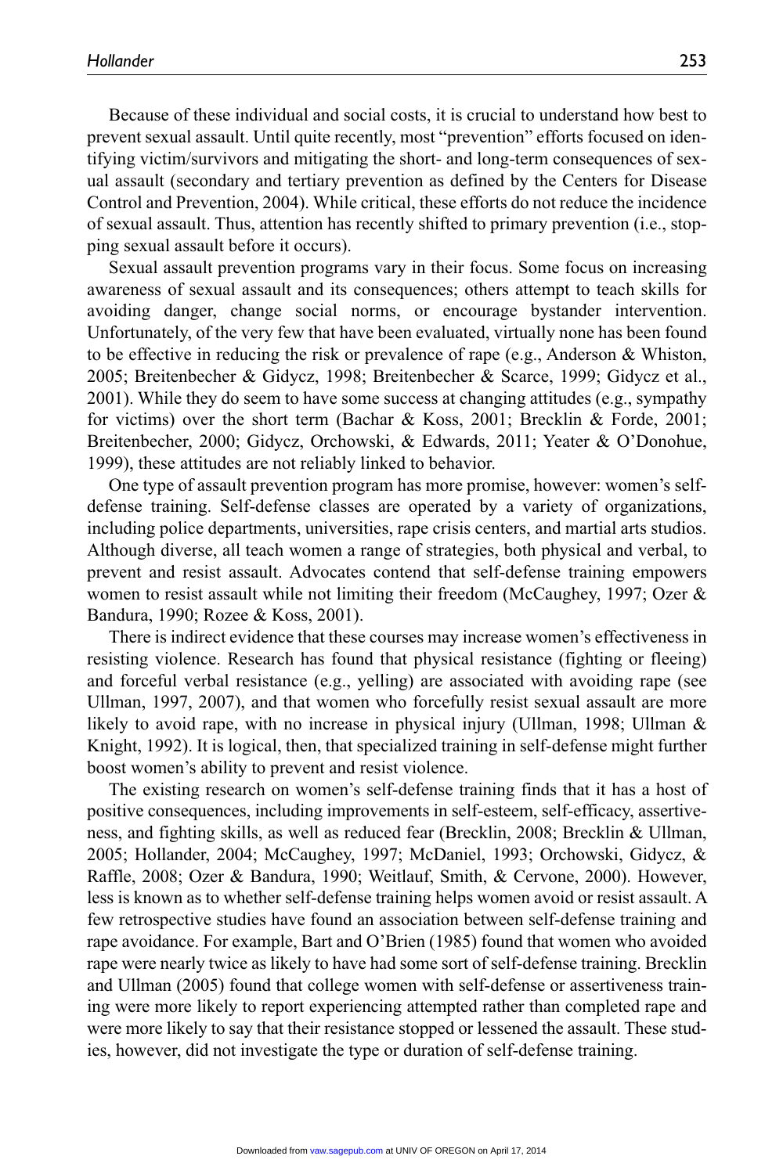Because of these individual and social costs, it is crucial to understand how best to prevent sexual assault. Until quite recently, most "prevention" efforts focused on identifying victim/survivors and mitigating the short- and long-term consequences of sexual assault (secondary and tertiary prevention as defined by the Centers for Disease Control and Prevention, 2004). While critical, these efforts do not reduce the incidence of sexual assault. Thus, attention has recently shifted to primary prevention (i.e., stopping sexual assault before it occurs).

Sexual assault prevention programs vary in their focus. Some focus on increasing awareness of sexual assault and its consequences; others attempt to teach skills for avoiding danger, change social norms, or encourage bystander intervention. Unfortunately, of the very few that have been evaluated, virtually none has been found to be effective in reducing the risk or prevalence of rape (e.g., Anderson & Whiston, 2005; Breitenbecher & Gidycz, 1998; Breitenbecher & Scarce, 1999; Gidycz et al., 2001). While they do seem to have some success at changing attitudes (e.g., sympathy for victims) over the short term (Bachar & Koss, 2001; Brecklin & Forde, 2001; Breitenbecher, 2000; Gidycz, Orchowski, & Edwards, 2011; Yeater & O'Donohue, 1999), these attitudes are not reliably linked to behavior.

One type of assault prevention program has more promise, however: women's selfdefense training. Self-defense classes are operated by a variety of organizations, including police departments, universities, rape crisis centers, and martial arts studios. Although diverse, all teach women a range of strategies, both physical and verbal, to prevent and resist assault. Advocates contend that self-defense training empowers women to resist assault while not limiting their freedom (McCaughey, 1997; Ozer & Bandura, 1990; Rozee & Koss, 2001).

There is indirect evidence that these courses may increase women's effectiveness in resisting violence. Research has found that physical resistance (fighting or fleeing) and forceful verbal resistance (e.g., yelling) are associated with avoiding rape (see Ullman, 1997, 2007), and that women who forcefully resist sexual assault are more likely to avoid rape, with no increase in physical injury (Ullman, 1998; Ullman & Knight, 1992). It is logical, then, that specialized training in self-defense might further boost women's ability to prevent and resist violence.

The existing research on women's self-defense training finds that it has a host of positive consequences, including improvements in self-esteem, self-efficacy, assertiveness, and fighting skills, as well as reduced fear (Brecklin, 2008; Brecklin & Ullman, 2005; Hollander, 2004; McCaughey, 1997; McDaniel, 1993; Orchowski, Gidycz, & Raffle, 2008; Ozer & Bandura, 1990; Weitlauf, Smith, & Cervone, 2000). However, less is known as to whether self-defense training helps women avoid or resist assault. A few retrospective studies have found an association between self-defense training and rape avoidance. For example, Bart and O'Brien (1985) found that women who avoided rape were nearly twice as likely to have had some sort of self-defense training. Brecklin and Ullman (2005) found that college women with self-defense or assertiveness training were more likely to report experiencing attempted rather than completed rape and were more likely to say that their resistance stopped or lessened the assault. These studies, however, did not investigate the type or duration of self-defense training.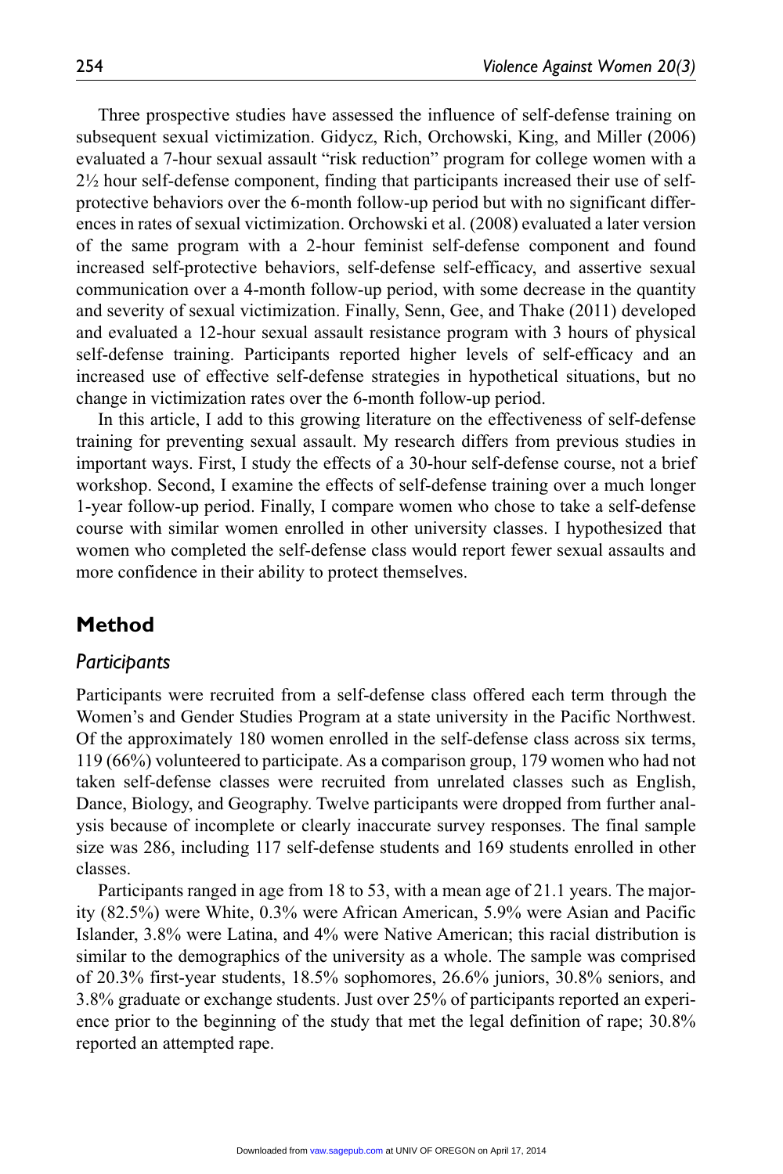Three prospective studies have assessed the influence of self-defense training on subsequent sexual victimization. Gidycz, Rich, Orchowski, King, and Miller (2006) evaluated a 7-hour sexual assault "risk reduction" program for college women with a 2½ hour self-defense component, finding that participants increased their use of selfprotective behaviors over the 6-month follow-up period but with no significant differences in rates of sexual victimization. Orchowski et al. (2008) evaluated a later version of the same program with a 2-hour feminist self-defense component and found increased self-protective behaviors, self-defense self-efficacy, and assertive sexual communication over a 4-month follow-up period, with some decrease in the quantity and severity of sexual victimization. Finally, Senn, Gee, and Thake (2011) developed and evaluated a 12-hour sexual assault resistance program with 3 hours of physical self-defense training. Participants reported higher levels of self-efficacy and an increased use of effective self-defense strategies in hypothetical situations, but no change in victimization rates over the 6-month follow-up period.

In this article, I add to this growing literature on the effectiveness of self-defense training for preventing sexual assault. My research differs from previous studies in important ways. First, I study the effects of a 30-hour self-defense course, not a brief workshop. Second, I examine the effects of self-defense training over a much longer 1-year follow-up period. Finally, I compare women who chose to take a self-defense course with similar women enrolled in other university classes. I hypothesized that women who completed the self-defense class would report fewer sexual assaults and more confidence in their ability to protect themselves.

## **Method**

### *Participants*

Participants were recruited from a self-defense class offered each term through the Women's and Gender Studies Program at a state university in the Pacific Northwest. Of the approximately 180 women enrolled in the self-defense class across six terms, 119 (66%) volunteered to participate. As a comparison group, 179 women who had not taken self-defense classes were recruited from unrelated classes such as English, Dance, Biology, and Geography. Twelve participants were dropped from further analysis because of incomplete or clearly inaccurate survey responses. The final sample size was 286, including 117 self-defense students and 169 students enrolled in other classes.

Participants ranged in age from 18 to 53, with a mean age of 21.1 years. The majority (82.5%) were White, 0.3% were African American, 5.9% were Asian and Pacific Islander, 3.8% were Latina, and 4% were Native American; this racial distribution is similar to the demographics of the university as a whole. The sample was comprised of 20.3% first-year students, 18.5% sophomores, 26.6% juniors, 30.8% seniors, and 3.8% graduate or exchange students. Just over 25% of participants reported an experience prior to the beginning of the study that met the legal definition of rape; 30.8% reported an attempted rape.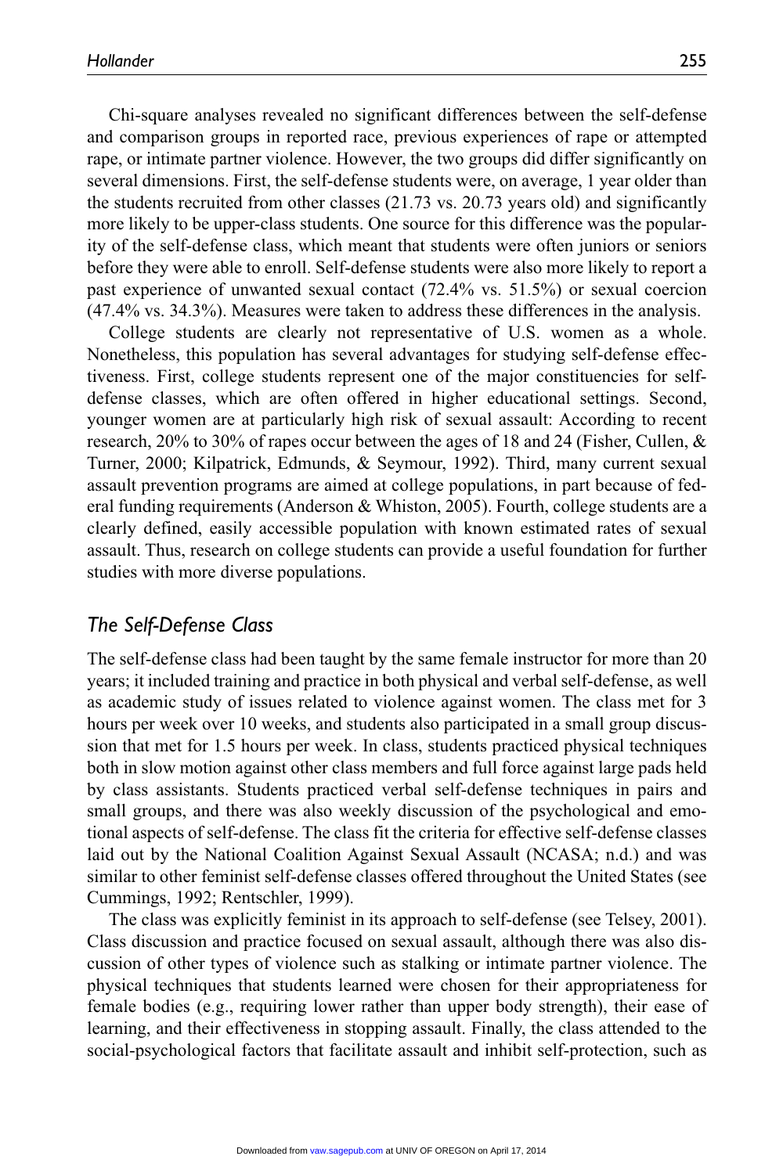Chi-square analyses revealed no significant differences between the self-defense and comparison groups in reported race, previous experiences of rape or attempted rape, or intimate partner violence. However, the two groups did differ significantly on several dimensions. First, the self-defense students were, on average, 1 year older than the students recruited from other classes (21.73 vs. 20.73 years old) and significantly more likely to be upper-class students. One source for this difference was the popularity of the self-defense class, which meant that students were often juniors or seniors before they were able to enroll. Self-defense students were also more likely to report a past experience of unwanted sexual contact (72.4% vs. 51.5%) or sexual coercion (47.4% vs. 34.3%). Measures were taken to address these differences in the analysis.

College students are clearly not representative of U.S. women as a whole. Nonetheless, this population has several advantages for studying self-defense effectiveness. First, college students represent one of the major constituencies for selfdefense classes, which are often offered in higher educational settings. Second, younger women are at particularly high risk of sexual assault: According to recent research, 20% to 30% of rapes occur between the ages of 18 and 24 (Fisher, Cullen, & Turner, 2000; Kilpatrick, Edmunds, & Seymour, 1992). Third, many current sexual assault prevention programs are aimed at college populations, in part because of federal funding requirements (Anderson & Whiston, 2005). Fourth, college students are a clearly defined, easily accessible population with known estimated rates of sexual assault. Thus, research on college students can provide a useful foundation for further studies with more diverse populations.

## *The Self-Defense Class*

The self-defense class had been taught by the same female instructor for more than 20 years; it included training and practice in both physical and verbal self-defense, as well as academic study of issues related to violence against women. The class met for 3 hours per week over 10 weeks, and students also participated in a small group discussion that met for 1.5 hours per week. In class, students practiced physical techniques both in slow motion against other class members and full force against large pads held by class assistants. Students practiced verbal self-defense techniques in pairs and small groups, and there was also weekly discussion of the psychological and emotional aspects of self-defense. The class fit the criteria for effective self-defense classes laid out by the National Coalition Against Sexual Assault (NCASA; n.d.) and was similar to other feminist self-defense classes offered throughout the United States (see Cummings, 1992; Rentschler, 1999).

The class was explicitly feminist in its approach to self-defense (see Telsey, 2001). Class discussion and practice focused on sexual assault, although there was also discussion of other types of violence such as stalking or intimate partner violence. The physical techniques that students learned were chosen for their appropriateness for female bodies (e.g., requiring lower rather than upper body strength), their ease of learning, and their effectiveness in stopping assault. Finally, the class attended to the social-psychological factors that facilitate assault and inhibit self-protection, such as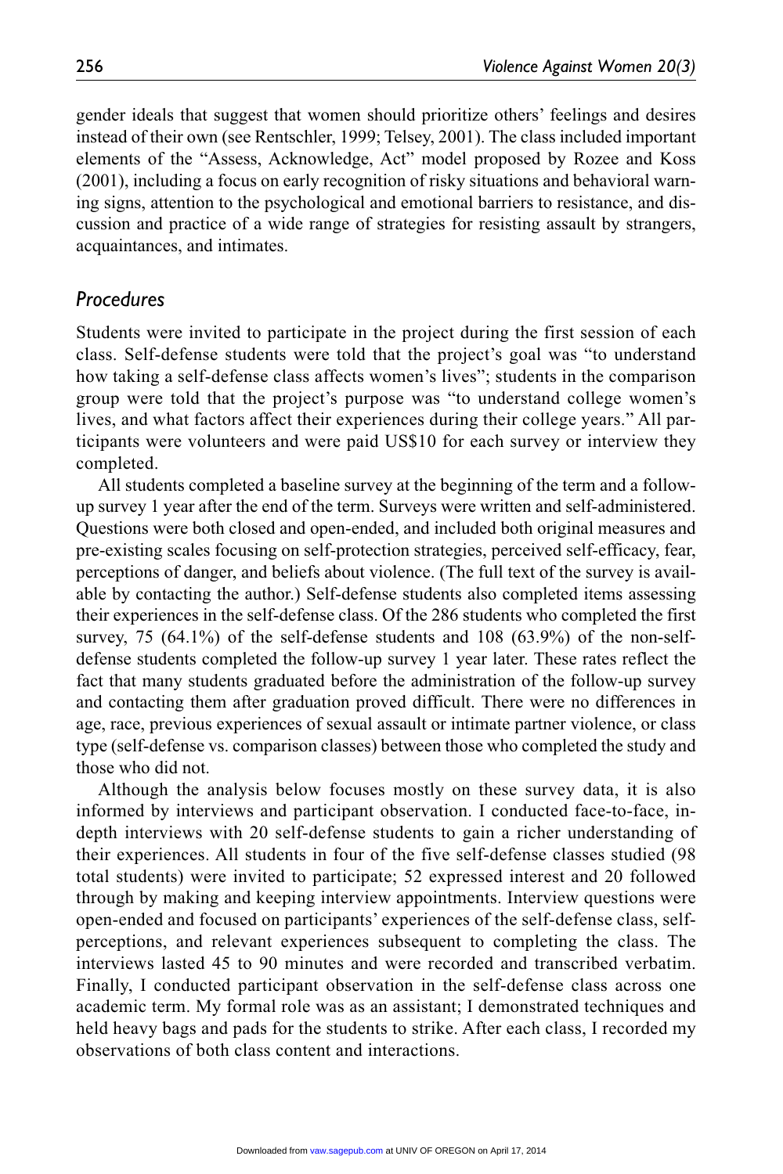gender ideals that suggest that women should prioritize others' feelings and desires instead of their own (see Rentschler, 1999; Telsey, 2001). The class included important elements of the "Assess, Acknowledge, Act" model proposed by Rozee and Koss (2001), including a focus on early recognition of risky situations and behavioral warning signs, attention to the psychological and emotional barriers to resistance, and discussion and practice of a wide range of strategies for resisting assault by strangers, acquaintances, and intimates.

## *Procedures*

Students were invited to participate in the project during the first session of each class. Self-defense students were told that the project's goal was "to understand how taking a self-defense class affects women's lives"; students in the comparison group were told that the project's purpose was "to understand college women's lives, and what factors affect their experiences during their college years." All participants were volunteers and were paid US\$10 for each survey or interview they completed.

All students completed a baseline survey at the beginning of the term and a followup survey 1 year after the end of the term. Surveys were written and self-administered. Questions were both closed and open-ended, and included both original measures and pre-existing scales focusing on self-protection strategies, perceived self-efficacy, fear, perceptions of danger, and beliefs about violence. (The full text of the survey is available by contacting the author.) Self-defense students also completed items assessing their experiences in the self-defense class. Of the 286 students who completed the first survey, 75 (64.1%) of the self-defense students and 108 (63.9%) of the non-selfdefense students completed the follow-up survey 1 year later. These rates reflect the fact that many students graduated before the administration of the follow-up survey and contacting them after graduation proved difficult. There were no differences in age, race, previous experiences of sexual assault or intimate partner violence, or class type (self-defense vs. comparison classes) between those who completed the study and those who did not.

Although the analysis below focuses mostly on these survey data, it is also informed by interviews and participant observation. I conducted face-to-face, indepth interviews with 20 self-defense students to gain a richer understanding of their experiences. All students in four of the five self-defense classes studied (98 total students) were invited to participate; 52 expressed interest and 20 followed through by making and keeping interview appointments. Interview questions were open-ended and focused on participants' experiences of the self-defense class, selfperceptions, and relevant experiences subsequent to completing the class. The interviews lasted 45 to 90 minutes and were recorded and transcribed verbatim. Finally, I conducted participant observation in the self-defense class across one academic term. My formal role was as an assistant; I demonstrated techniques and held heavy bags and pads for the students to strike. After each class, I recorded my observations of both class content and interactions.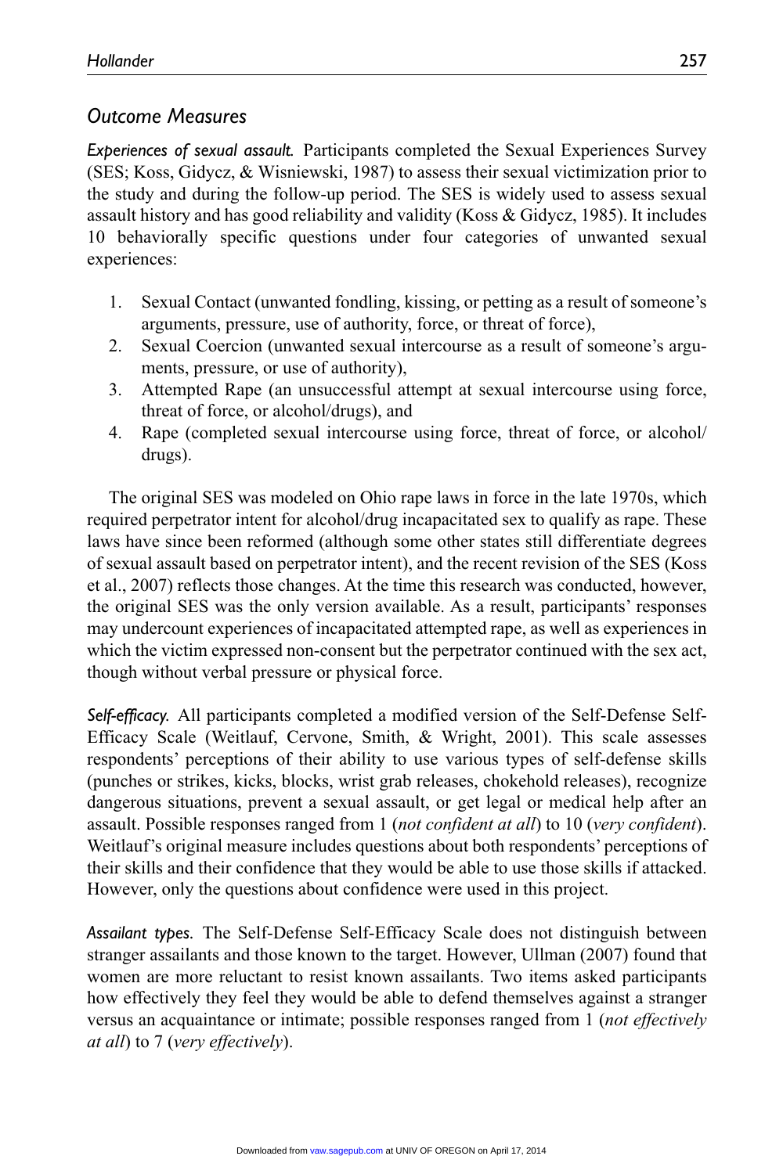## *Outcome Measures*

*Experiences of sexual assault.* Participants completed the Sexual Experiences Survey (SES; Koss, Gidycz, & Wisniewski, 1987) to assess their sexual victimization prior to the study and during the follow-up period. The SES is widely used to assess sexual assault history and has good reliability and validity (Koss & Gidycz, 1985). It includes 10 behaviorally specific questions under four categories of unwanted sexual experiences:

- 1. Sexual Contact (unwanted fondling, kissing, or petting as a result of someone's arguments, pressure, use of authority, force, or threat of force),
- 2. Sexual Coercion (unwanted sexual intercourse as a result of someone's arguments, pressure, or use of authority),
- 3. Attempted Rape (an unsuccessful attempt at sexual intercourse using force, threat of force, or alcohol/drugs), and
- 4. Rape (completed sexual intercourse using force, threat of force, or alcohol/ drugs).

The original SES was modeled on Ohio rape laws in force in the late 1970s, which required perpetrator intent for alcohol/drug incapacitated sex to qualify as rape. These laws have since been reformed (although some other states still differentiate degrees of sexual assault based on perpetrator intent), and the recent revision of the SES (Koss et al., 2007) reflects those changes. At the time this research was conducted, however, the original SES was the only version available. As a result, participants' responses may undercount experiences of incapacitated attempted rape, as well as experiences in which the victim expressed non-consent but the perpetrator continued with the sex act, though without verbal pressure or physical force.

*Self-efficacy.* All participants completed a modified version of the Self-Defense Self-Efficacy Scale (Weitlauf, Cervone, Smith, & Wright, 2001). This scale assesses respondents' perceptions of their ability to use various types of self-defense skills (punches or strikes, kicks, blocks, wrist grab releases, chokehold releases), recognize dangerous situations, prevent a sexual assault, or get legal or medical help after an assault. Possible responses ranged from 1 (*not confident at all*) to 10 (*very confident*). Weitlauf's original measure includes questions about both respondents' perceptions of their skills and their confidence that they would be able to use those skills if attacked. However, only the questions about confidence were used in this project.

*Assailant types.* The Self-Defense Self-Efficacy Scale does not distinguish between stranger assailants and those known to the target. However, Ullman (2007) found that women are more reluctant to resist known assailants. Two items asked participants how effectively they feel they would be able to defend themselves against a stranger versus an acquaintance or intimate; possible responses ranged from 1 (*not effectively at all*) to 7 (*very effectively*).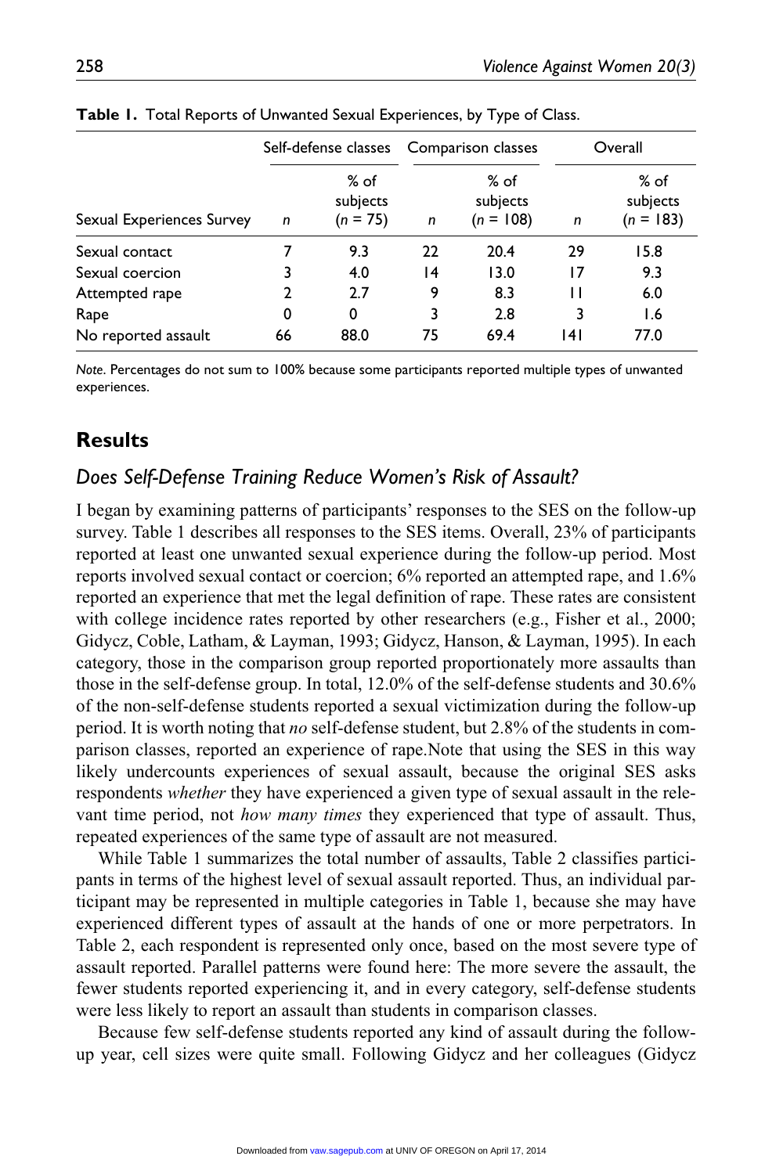|                           |    |                                  | Self-defense classes Comparison classes |                                   | Overall |                                   |
|---------------------------|----|----------------------------------|-----------------------------------------|-----------------------------------|---------|-----------------------------------|
| Sexual Experiences Survey | n  | $%$ of<br>subjects<br>$(n = 75)$ | n                                       | $%$ of<br>subjects<br>$(n = 108)$ | n       | $%$ of<br>subjects<br>$(n = 183)$ |
| Sexual contact            |    | 9.3                              | 22                                      | 20.4                              | 29      | 15.8                              |
| Sexual coercion           | 3  | 4.0                              | 14                                      | 13.0                              | 17      | 9.3                               |
| Attempted rape            | 2  | 2.7                              | 9                                       | 8.3                               | н       | 6.0                               |
| Rape                      | 0  | 0                                | 3                                       | 2.8                               | 3       | 1.6                               |
| No reported assault       | 66 | 88.0                             | 75                                      | 69.4                              | ا 14    | 77.0                              |

**Table 1.** Total Reports of Unwanted Sexual Experiences, by Type of Class.

*Note*. Percentages do not sum to 100% because some participants reported multiple types of unwanted experiences.

## **Results**

## *Does Self-Defense Training Reduce Women's Risk of Assault?*

I began by examining patterns of participants' responses to the SES on the follow-up survey. Table 1 describes all responses to the SES items. Overall, 23% of participants reported at least one unwanted sexual experience during the follow-up period. Most reports involved sexual contact or coercion; 6% reported an attempted rape, and 1.6% reported an experience that met the legal definition of rape. These rates are consistent with college incidence rates reported by other researchers (e.g., Fisher et al., 2000; Gidycz, Coble, Latham, & Layman, 1993; Gidycz, Hanson, & Layman, 1995). In each category, those in the comparison group reported proportionately more assaults than those in the self-defense group. In total, 12.0% of the self-defense students and 30.6% of the non-self-defense students reported a sexual victimization during the follow-up period. It is worth noting that *no* self-defense student, but 2.8% of the students in comparison classes, reported an experience of rape.Note that using the SES in this way likely undercounts experiences of sexual assault, because the original SES asks respondents *whether* they have experienced a given type of sexual assault in the relevant time period, not *how many times* they experienced that type of assault. Thus, repeated experiences of the same type of assault are not measured.

While Table 1 summarizes the total number of assaults, Table 2 classifies participants in terms of the highest level of sexual assault reported. Thus, an individual participant may be represented in multiple categories in Table 1, because she may have experienced different types of assault at the hands of one or more perpetrators. In Table 2, each respondent is represented only once, based on the most severe type of assault reported. Parallel patterns were found here: The more severe the assault, the fewer students reported experiencing it, and in every category, self-defense students were less likely to report an assault than students in comparison classes.

Because few self-defense students reported any kind of assault during the followup year, cell sizes were quite small. Following Gidycz and her colleagues (Gidycz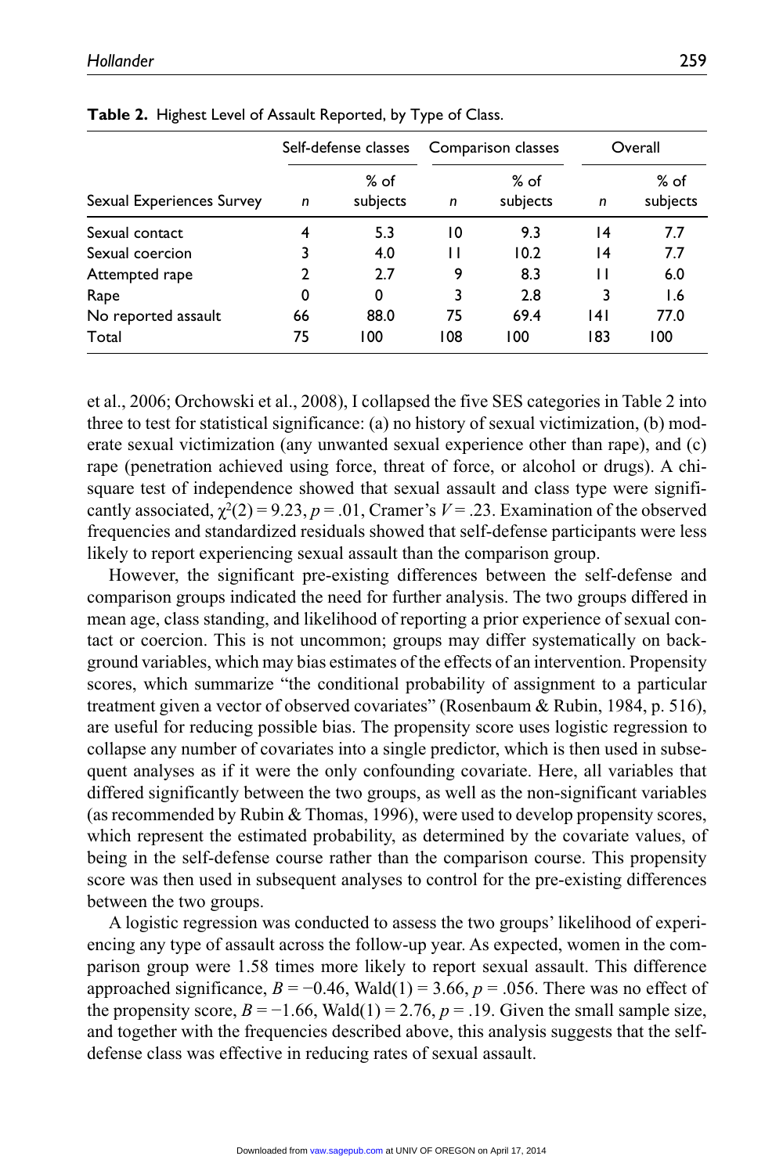|                           | Self-defense classes |                    | Comparison classes |                    | Overall      |                    |
|---------------------------|----------------------|--------------------|--------------------|--------------------|--------------|--------------------|
| Sexual Experiences Survey | n                    | $%$ of<br>subjects | n                  | $%$ of<br>subjects | n            | $%$ of<br>subjects |
| Sexual contact            | 4                    | 5.3                | 10                 | 9.3                | 14           | 7.7                |
| Sexual coercion           | 3                    | 4.0                | П                  | 10.2               | 14           | 7.7                |
| Attempted rape            | 2                    | 2.7                | 9                  | 8.3                | $\mathbf{I}$ | 6.0                |
| Rape                      | 0                    | 0                  | 3                  | 2.8                | 3            | 1.6                |
| No reported assault       | 66                   | 88.0               | 75                 | 69.4               | 141          | 77.0               |
| Total                     | 75                   | 100                | 108                | ١00                | 183          | 100                |

**Table 2.** Highest Level of Assault Reported, by Type of Class.

et al., 2006; Orchowski et al., 2008), I collapsed the five SES categories in Table 2 into three to test for statistical significance: (a) no history of sexual victimization, (b) moderate sexual victimization (any unwanted sexual experience other than rape), and (c) rape (penetration achieved using force, threat of force, or alcohol or drugs). A chisquare test of independence showed that sexual assault and class type were significantly associated,  $\chi^2(2) = 9.23$ ,  $p = .01$ , Cramer's  $V = .23$ . Examination of the observed frequencies and standardized residuals showed that self-defense participants were less likely to report experiencing sexual assault than the comparison group.

However, the significant pre-existing differences between the self-defense and comparison groups indicated the need for further analysis. The two groups differed in mean age, class standing, and likelihood of reporting a prior experience of sexual contact or coercion. This is not uncommon; groups may differ systematically on background variables, which may bias estimates of the effects of an intervention. Propensity scores, which summarize "the conditional probability of assignment to a particular treatment given a vector of observed covariates" (Rosenbaum & Rubin, 1984, p. 516), are useful for reducing possible bias. The propensity score uses logistic regression to collapse any number of covariates into a single predictor, which is then used in subsequent analyses as if it were the only confounding covariate. Here, all variables that differed significantly between the two groups, as well as the non-significant variables (as recommended by Rubin & Thomas, 1996), were used to develop propensity scores, which represent the estimated probability, as determined by the covariate values, of being in the self-defense course rather than the comparison course. This propensity score was then used in subsequent analyses to control for the pre-existing differences between the two groups.

A logistic regression was conducted to assess the two groups' likelihood of experiencing any type of assault across the follow-up year. As expected, women in the comparison group were 1.58 times more likely to report sexual assault. This difference approached significance,  $B = -0.46$ , Wald(1) = 3.66,  $p = .056$ . There was no effect of the propensity score,  $B = -1.66$ , Wald(1) = 2.76,  $p = .19$ . Given the small sample size, and together with the frequencies described above, this analysis suggests that the selfdefense class was effective in reducing rates of sexual assault.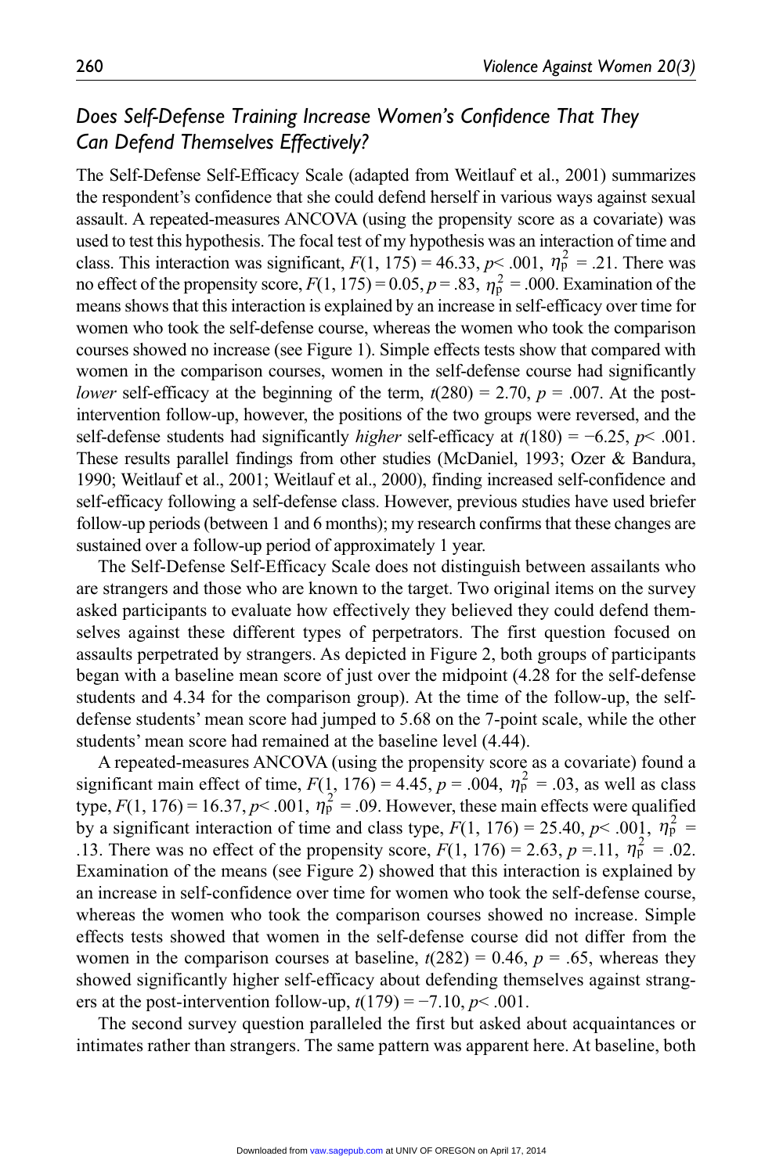# *Does Self-Defense Training Increase Women's Confidence That They Can Defend Themselves Effectively?*

The Self-Defense Self-Efficacy Scale (adapted from Weitlauf et al., 2001) summarizes the respondent's confidence that she could defend herself in various ways against sexual assault. A repeated-measures ANCOVA (using the propensity score as a covariate) was used to test this hypothesis. The focal test of my hypothesis was an interaction of time and class. This interaction was significant,  $F(1, 175) = 46.33$ ,  $p < .001$ ,  $\eta_p^2 = .21$ . There was no effect of the propensity score,  $F(1, 175) = 0.05$ ,  $p = .83$ ,  $\eta_p^2 = .000$ . Examination of the means shows that this interaction is explained by an increase in self-efficacy over time for women who took the self-defense course, whereas the women who took the comparison courses showed no increase (see Figure 1). Simple effects tests show that compared with women in the comparison courses, women in the self-defense course had significantly *lower* self-efficacy at the beginning of the term,  $t(280) = 2.70$ ,  $p = .007$ . At the postintervention follow-up, however, the positions of the two groups were reversed, and the self-defense students had significantly *higher* self-efficacy at  $t(180) = -6.25$ ,  $p < .001$ . These results parallel findings from other studies (McDaniel, 1993; Ozer & Bandura, 1990; Weitlauf et al., 2001; Weitlauf et al., 2000), finding increased self-confidence and self-efficacy following a self-defense class. However, previous studies have used briefer follow-up periods (between 1 and 6 months); my research confirms that these changes are sustained over a follow-up period of approximately 1 year.

The Self-Defense Self-Efficacy Scale does not distinguish between assailants who are strangers and those who are known to the target. Two original items on the survey asked participants to evaluate how effectively they believed they could defend themselves against these different types of perpetrators. The first question focused on assaults perpetrated by strangers. As depicted in Figure 2, both groups of participants began with a baseline mean score of just over the midpoint (4.28 for the self-defense students and 4.34 for the comparison group). At the time of the follow-up, the selfdefense students' mean score had jumped to 5.68 on the 7-point scale, while the other students' mean score had remained at the baseline level (4.44).

A repeated-measures ANCOVA (using the propensity score as a covariate) found a significant main effect of time,  $F(1, 176) = 4.45$ ,  $p = .004$ ,  $\eta_p^2 = .03$ , as well as class type,  $F(1, 176) = 16.37$ ,  $p < .001$ ,  $\eta_p^2 = .09$ . However, these main effects were qualified by a significant interaction of time and class type,  $F(1, 176) = 25.40$ ,  $p < .001$ ,  $\eta_p^2 =$ 13. There was no effect of the propensity score,  $F(1, 176) = 2.63$ ,  $p = 11$ ,  $\eta_p^2 = 0.02$ . Examination of the means (see Figure 2) showed that this interaction is explained by an increase in self-confidence over time for women who took the self-defense course, whereas the women who took the comparison courses showed no increase. Simple effects tests showed that women in the self-defense course did not differ from the women in the comparison courses at baseline,  $t(282) = 0.46$ ,  $p = .65$ , whereas they showed significantly higher self-efficacy about defending themselves against strangers at the post-intervention follow-up,  $t(179) = -7.10, p < .001$ .

The second survey question paralleled the first but asked about acquaintances or intimates rather than strangers. The same pattern was apparent here. At baseline, both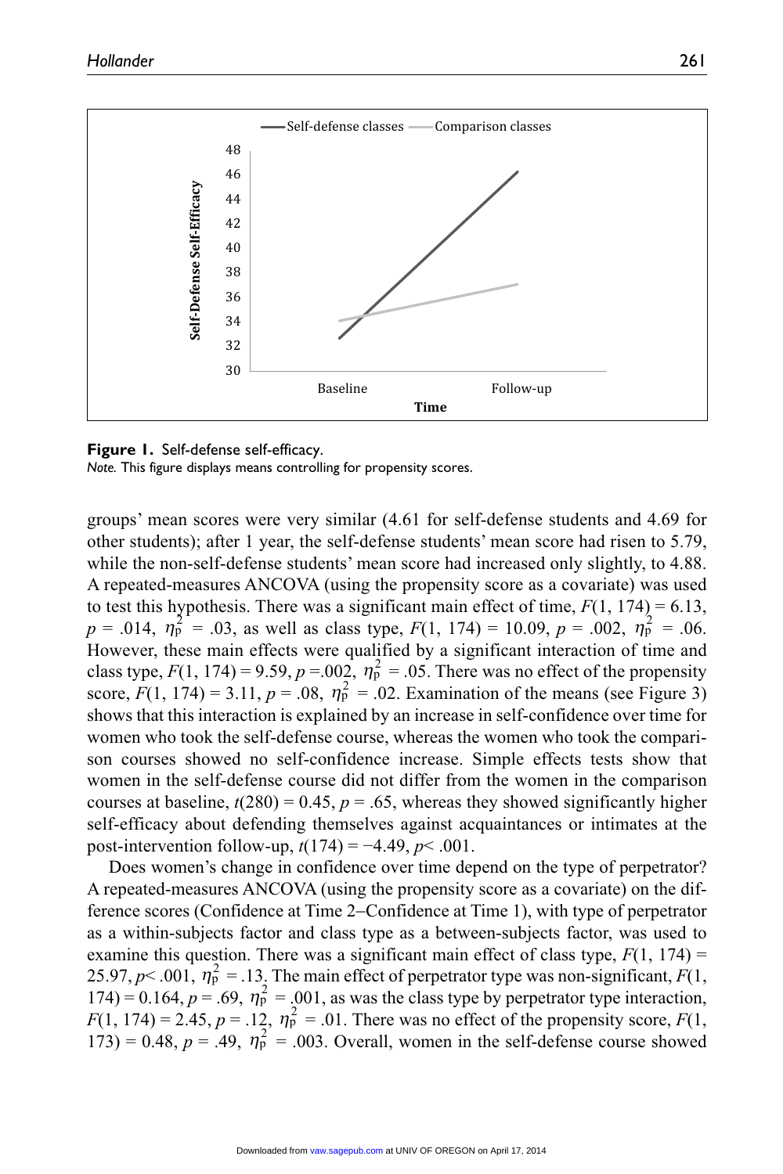

**Figure 1.** Self-defense self-efficacy. *Note.* This figure displays means controlling for propensity scores.

groups' mean scores were very similar (4.61 for self-defense students and 4.69 for other students); after 1 year, the self-defense students' mean score had risen to 5.79, while the non-self-defense students' mean score had increased only slightly, to 4.88. A repeated-measures ANCOVA (using the propensity score as a covariate) was used to test this hypothesis. There was a significant main effect of time,  $F(1, 174) = 6.13$ ,  $p = .014$ ,  $\eta_p^2 = .03$ , as well as class type,  $F(1, 174) = 10.09$ ,  $p = .002$ ,  $\eta_p^2 = .06$ . However, these main effects were qualified by a significant interaction of time and class type,  $F(1, 174) = 9.59$ ,  $p = .002$ ,  $\eta_p^2 = .05$ . There was no effect of the propensity score,  $F(1, 174) = 3.11$ ,  $p = .08$ ,  $\eta_p^2 = .02$ . Examination of the means (see Figure 3) shows that this interaction is explained by an increase in self-confidence over time for women who took the self-defense course, whereas the women who took the comparison courses showed no self-confidence increase. Simple effects tests show that women in the self-defense course did not differ from the women in the comparison courses at baseline,  $t(280) = 0.45$ ,  $p = .65$ , whereas they showed significantly higher self-efficacy about defending themselves against acquaintances or intimates at the post-intervention follow-up, *t*(174) = −4.49, *p*< .001.

Does women's change in confidence over time depend on the type of perpetrator? A repeated-measures ANCOVA (using the propensity score as a covariate) on the difference scores (Confidence at Time 2−Confidence at Time 1), with type of perpetrator as a within-subjects factor and class type as a between-subjects factor, was used to examine this question. There was a significant main effect of class type,  $F(1, 174) =$ 25.97,  $p < .001$ ,  $\eta_p^2 = .13$ . The main effect of perpetrator type was non-significant,  $F(1, \theta_p)$  $174$ ) = 0.164,  $p = .69$ ,  $\eta_p^2 = .001$ , as was the class type by perpetrator type interaction,  $F(1, 174) = 2.45, p = .12, \eta_p^2 = .01$ . There was no effect of the propensity score,  $F(1, 174)$  $173$ ) = 0.48,  $p = .49$ ,  $\eta_p^2 = .003$ . Overall, women in the self-defense course showed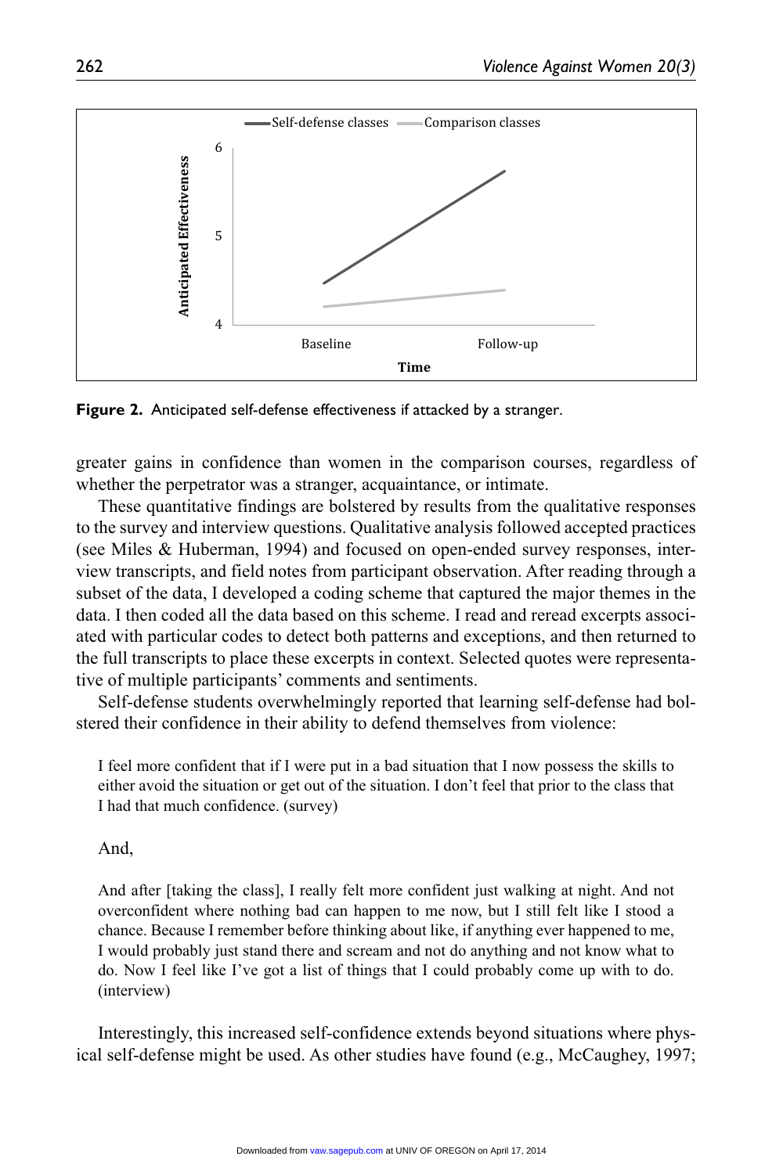

**Figure 2.** Anticipated self-defense effectiveness if attacked by a stranger.

greater gains in confidence than women in the comparison courses, regardless of whether the perpetrator was a stranger, acquaintance, or intimate.

These quantitative findings are bolstered by results from the qualitative responses to the survey and interview questions. Qualitative analysis followed accepted practices (see Miles & Huberman, 1994) and focused on open-ended survey responses, interview transcripts, and field notes from participant observation. After reading through a subset of the data, I developed a coding scheme that captured the major themes in the data. I then coded all the data based on this scheme. I read and reread excerpts associated with particular codes to detect both patterns and exceptions, and then returned to the full transcripts to place these excerpts in context. Selected quotes were representative of multiple participants' comments and sentiments.

Self-defense students overwhelmingly reported that learning self-defense had bolstered their confidence in their ability to defend themselves from violence:

I feel more confident that if I were put in a bad situation that I now possess the skills to either avoid the situation or get out of the situation. I don't feel that prior to the class that I had that much confidence. (survey)

#### And,

And after [taking the class], I really felt more confident just walking at night. And not overconfident where nothing bad can happen to me now, but I still felt like I stood a chance. Because I remember before thinking about like, if anything ever happened to me, I would probably just stand there and scream and not do anything and not know what to do. Now I feel like I've got a list of things that I could probably come up with to do. (interview)

Interestingly, this increased self-confidence extends beyond situations where physical self-defense might be used. As other studies have found (e.g., McCaughey, 1997;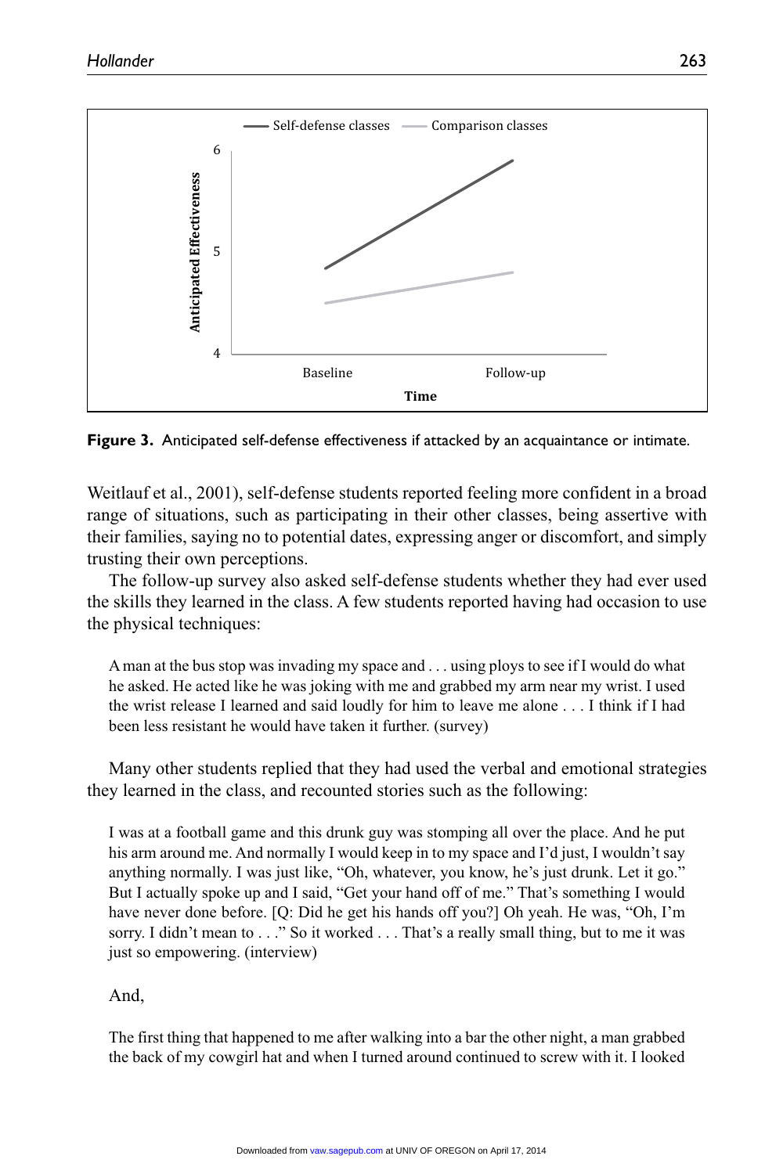

**Figure 3.** Anticipated self-defense effectiveness if attacked by an acquaintance or intimate.

Weitlauf et al., 2001), self-defense students reported feeling more confident in a broad range of situations, such as participating in their other classes, being assertive with their families, saying no to potential dates, expressing anger or discomfort, and simply trusting their own perceptions.

The follow-up survey also asked self-defense students whether they had ever used the skills they learned in the class. A few students reported having had occasion to use the physical techniques:

A man at the bus stop was invading my space and . . . using ploys to see if I would do what he asked. He acted like he was joking with me and grabbed my arm near my wrist. I used the wrist release I learned and said loudly for him to leave me alone . . . I think if I had been less resistant he would have taken it further. (survey)

Many other students replied that they had used the verbal and emotional strategies they learned in the class, and recounted stories such as the following:

I was at a football game and this drunk guy was stomping all over the place. And he put his arm around me. And normally I would keep in to my space and I'd just, I wouldn't say anything normally. I was just like, "Oh, whatever, you know, he's just drunk. Let it go." But I actually spoke up and I said, "Get your hand off of me." That's something I would have never done before. [Q: Did he get his hands off you?] Oh yeah. He was, "Oh, I'm sorry. I didn't mean to . . ." So it worked . . . That's a really small thing, but to me it was just so empowering. (interview)

### And,

The first thing that happened to me after walking into a bar the other night, a man grabbed the back of my cowgirl hat and when I turned around continued to screw with it. I looked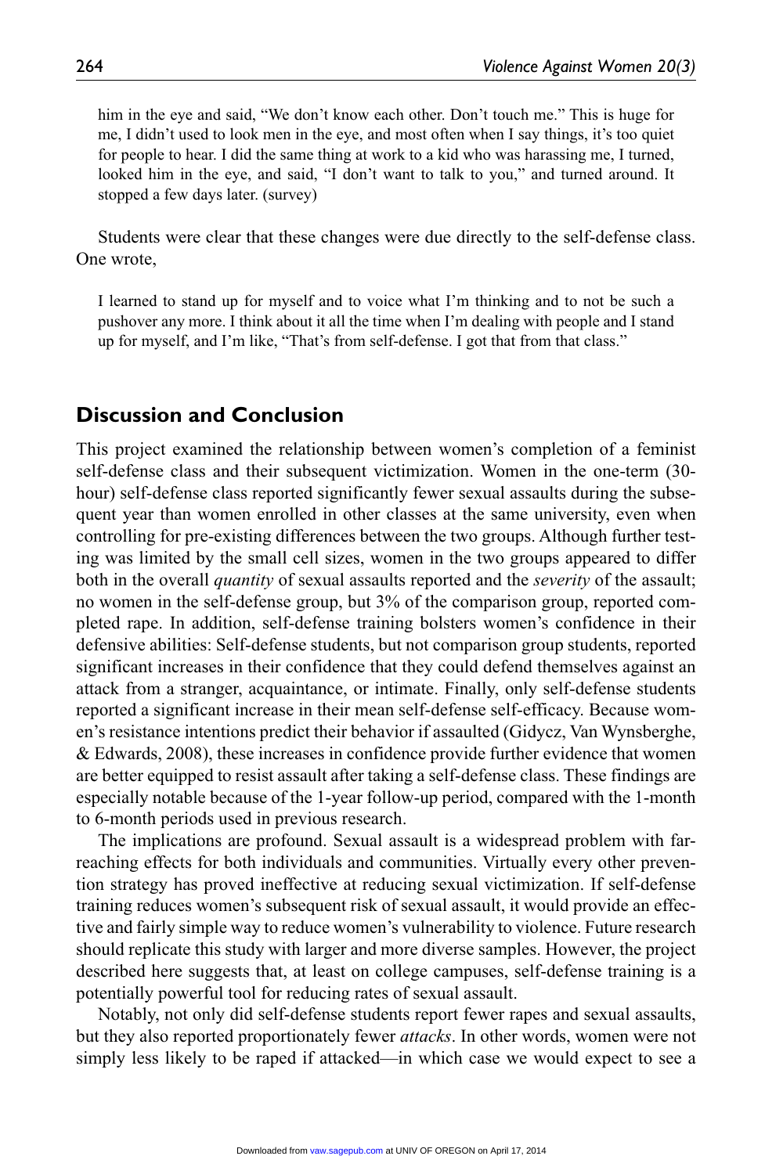him in the eye and said, "We don't know each other. Don't touch me." This is huge for me, I didn't used to look men in the eye, and most often when I say things, it's too quiet for people to hear. I did the same thing at work to a kid who was harassing me, I turned, looked him in the eye, and said, "I don't want to talk to you," and turned around. It stopped a few days later. (survey)

Students were clear that these changes were due directly to the self-defense class. One wrote,

I learned to stand up for myself and to voice what I'm thinking and to not be such a pushover any more. I think about it all the time when I'm dealing with people and I stand up for myself, and I'm like, "That's from self-defense. I got that from that class."

## **Discussion and Conclusion**

This project examined the relationship between women's completion of a feminist self-defense class and their subsequent victimization. Women in the one-term (30 hour) self-defense class reported significantly fewer sexual assaults during the subsequent year than women enrolled in other classes at the same university, even when controlling for pre-existing differences between the two groups. Although further testing was limited by the small cell sizes, women in the two groups appeared to differ both in the overall *quantity* of sexual assaults reported and the *severity* of the assault; no women in the self-defense group, but 3% of the comparison group, reported completed rape. In addition, self-defense training bolsters women's confidence in their defensive abilities: Self-defense students, but not comparison group students, reported significant increases in their confidence that they could defend themselves against an attack from a stranger, acquaintance, or intimate. Finally, only self-defense students reported a significant increase in their mean self-defense self-efficacy. Because women's resistance intentions predict their behavior if assaulted (Gidycz, Van Wynsberghe, & Edwards, 2008), these increases in confidence provide further evidence that women are better equipped to resist assault after taking a self-defense class. These findings are especially notable because of the 1-year follow-up period, compared with the 1-month to 6-month periods used in previous research.

The implications are profound. Sexual assault is a widespread problem with farreaching effects for both individuals and communities. Virtually every other prevention strategy has proved ineffective at reducing sexual victimization. If self-defense training reduces women's subsequent risk of sexual assault, it would provide an effective and fairly simple way to reduce women's vulnerability to violence. Future research should replicate this study with larger and more diverse samples. However, the project described here suggests that, at least on college campuses, self-defense training is a potentially powerful tool for reducing rates of sexual assault.

Notably, not only did self-defense students report fewer rapes and sexual assaults, but they also reported proportionately fewer *attacks*. In other words, women were not simply less likely to be raped if attacked—in which case we would expect to see a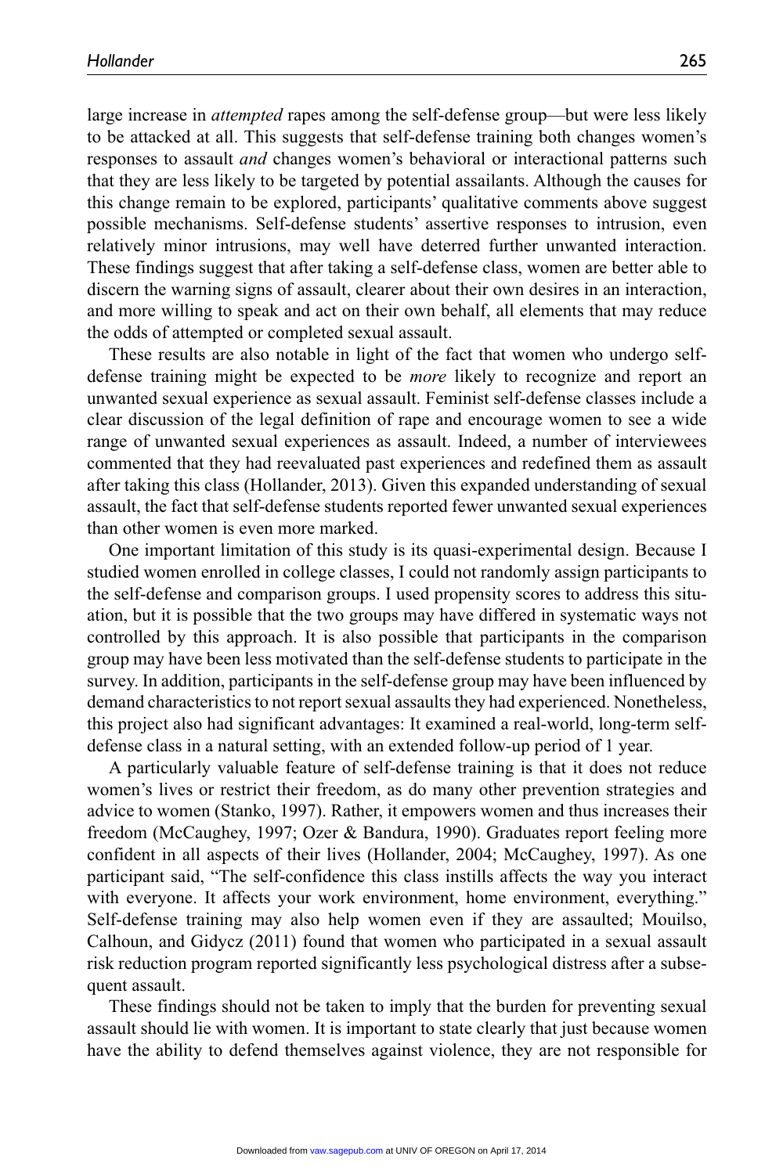large increase in *attempted* rapes among the self-defense group—but were less likely to be attacked at all. This suggests that self-defense training both changes women's responses to assault *and* changes women's behavioral or interactional patterns such that they are less likely to be targeted by potential assailants. Although the causes for this change remain to be explored, participants' qualitative comments above suggest possible mechanisms. Self-defense students' assertive responses to intrusion, even relatively minor intrusions, may well have deterred further unwanted interaction. These findings suggest that after taking a self-defense class, women are better able to discern the warning signs of assault, clearer about their own desires in an interaction, and more willing to speak and act on their own behalf, all elements that may reduce the odds of attempted or completed sexual assault.

These results are also notable in light of the fact that women who undergo selfdefense training might be expected to be *more* likely to recognize and report an unwanted sexual experience as sexual assault. Feminist self-defense classes include a clear discussion of the legal definition of rape and encourage women to see a wide range of unwanted sexual experiences as assault. Indeed, a number of interviewees commented that they had reevaluated past experiences and redefined them as assault after taking this class (Hollander, 2013). Given this expanded understanding of sexual assault, the fact that self-defense students reported fewer unwanted sexual experiences than other women is even more marked.

One important limitation of this study is its quasi-experimental design. Because I studied women enrolled in college classes, I could not randomly assign participants to the self-defense and comparison groups. I used propensity scores to address this situation, but it is possible that the two groups may have differed in systematic ways not controlled by this approach. It is also possible that participants in the comparison group may have been less motivated than the self-defense students to participate in the survey. In addition, participants in the self-defense group may have been influenced by demand characteristics to not report sexual assaults they had experienced. Nonetheless, this project also had significant advantages: It examined a real-world, long-term selfdefense class in a natural setting, with an extended follow-up period of 1 year.

A particularly valuable feature of self-defense training is that it does not reduce women's lives or restrict their freedom, as do many other prevention strategies and advice to women (Stanko, 1997). Rather, it empowers women and thus increases their freedom (McCaughey, 1997; Ozer & Bandura, 1990). Graduates report feeling more confident in all aspects of their lives (Hollander, 2004; McCaughey, 1997). As one participant said, "The self-confidence this class instills affects the way you interact with everyone. It affects your work environment, home environment, everything." Self-defense training may also help women even if they are assaulted; Mouilso, Calhoun, and Gidycz (2011) found that women who participated in a sexual assault risk reduction program reported significantly less psychological distress after a subsequent assault.

These findings should not be taken to imply that the burden for preventing sexual assault should lie with women. It is important to state clearly that just because women have the ability to defend themselves against violence, they are not responsible for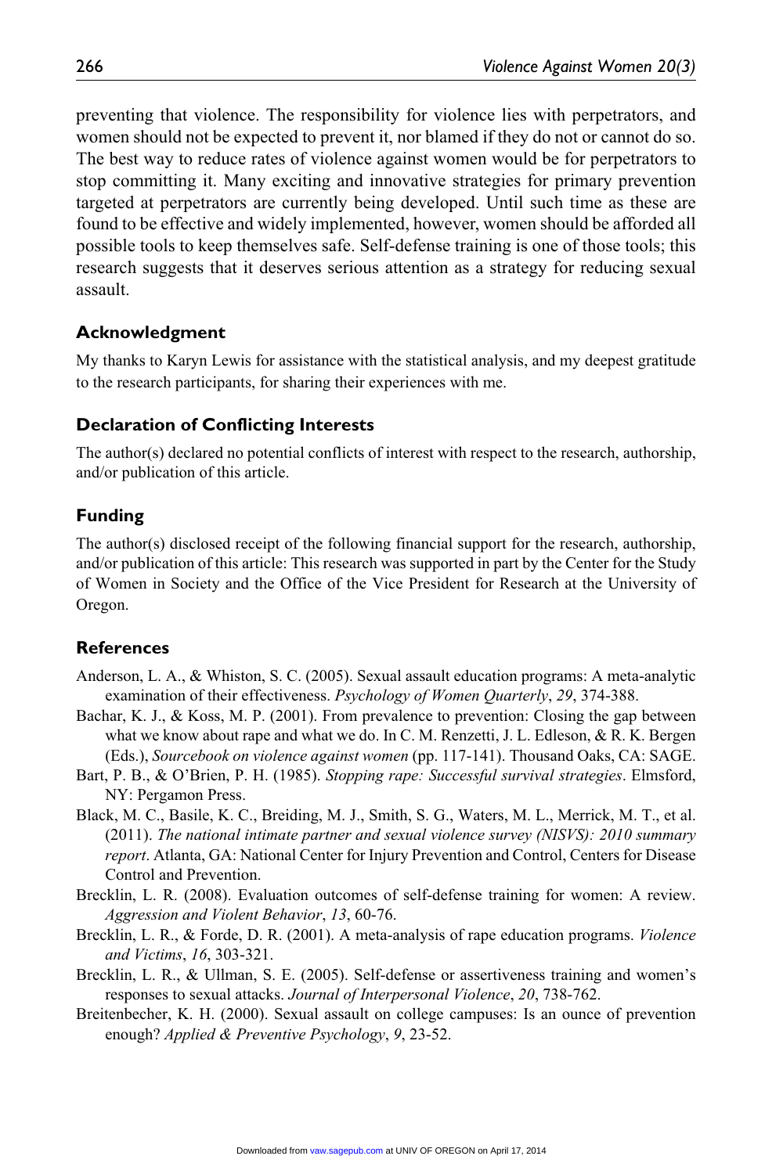preventing that violence. The responsibility for violence lies with perpetrators, and women should not be expected to prevent it, nor blamed if they do not or cannot do so. The best way to reduce rates of violence against women would be for perpetrators to stop committing it. Many exciting and innovative strategies for primary prevention targeted at perpetrators are currently being developed. Until such time as these are found to be effective and widely implemented, however, women should be afforded all possible tools to keep themselves safe. Self-defense training is one of those tools; this research suggests that it deserves serious attention as a strategy for reducing sexual assault.

### **Acknowledgment**

My thanks to Karyn Lewis for assistance with the statistical analysis, and my deepest gratitude to the research participants, for sharing their experiences with me.

#### **Declaration of Conflicting Interests**

The author(s) declared no potential conflicts of interest with respect to the research, authorship, and/or publication of this article.

#### **Funding**

The author(s) disclosed receipt of the following financial support for the research, authorship, and/or publication of this article: This research was supported in part by the Center for the Study of Women in Society and the Office of the Vice President for Research at the University of Oregon.

#### **References**

- Anderson, L. A., & Whiston, S. C. (2005). Sexual assault education programs: A meta-analytic examination of their effectiveness. *Psychology of Women Quarterly*, *29*, 374-388.
- Bachar, K. J., & Koss, M. P. (2001). From prevalence to prevention: Closing the gap between what we know about rape and what we do. In C. M. Renzetti, J. L. Edleson, & R. K. Bergen (Eds.), *Sourcebook on violence against women* (pp. 117-141). Thousand Oaks, CA: SAGE.
- Bart, P. B., & O'Brien, P. H. (1985). *Stopping rape: Successful survival strategies*. Elmsford, NY: Pergamon Press.
- Black, M. C., Basile, K. C., Breiding, M. J., Smith, S. G., Waters, M. L., Merrick, M. T., et al. (2011). *The national intimate partner and sexual violence survey (NISVS): 2010 summary report*. Atlanta, GA: National Center for Injury Prevention and Control, Centers for Disease Control and Prevention.
- Brecklin, L. R. (2008). Evaluation outcomes of self-defense training for women: A review. *Aggression and Violent Behavior*, *13*, 60-76.
- Brecklin, L. R., & Forde, D. R. (2001). A meta-analysis of rape education programs. *Violence and Victims*, *16*, 303-321.
- Brecklin, L. R., & Ullman, S. E. (2005). Self-defense or assertiveness training and women's responses to sexual attacks. *Journal of Interpersonal Violence*, *20*, 738-762.
- Breitenbecher, K. H. (2000). Sexual assault on college campuses: Is an ounce of prevention enough? *Applied & Preventive Psychology*, *9*, 23-52.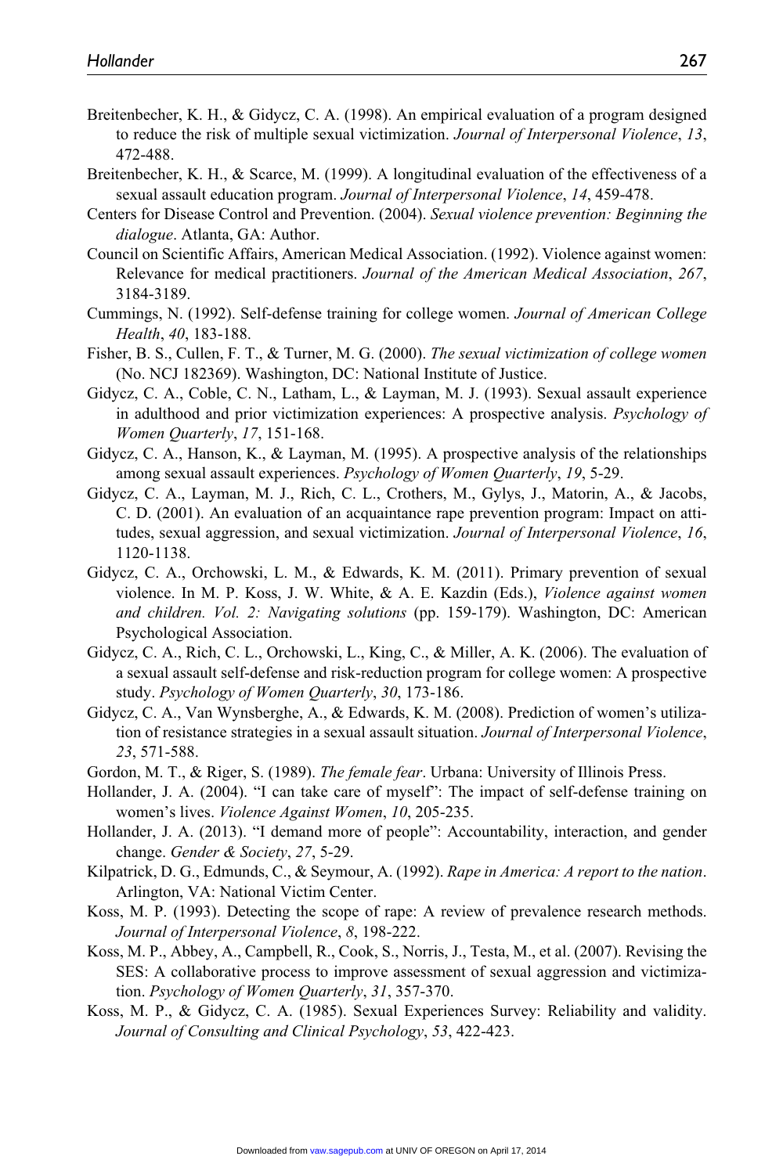- Breitenbecher, K. H., & Gidycz, C. A. (1998). An empirical evaluation of a program designed to reduce the risk of multiple sexual victimization. *Journal of Interpersonal Violence*, *13*, 472-488.
- Breitenbecher, K. H., & Scarce, M. (1999). A longitudinal evaluation of the effectiveness of a sexual assault education program. *Journal of Interpersonal Violence*, *14*, 459-478.
- Centers for Disease Control and Prevention. (2004). *Sexual violence prevention: Beginning the dialogue*. Atlanta, GA: Author.
- Council on Scientific Affairs, American Medical Association. (1992). Violence against women: Relevance for medical practitioners. *Journal of the American Medical Association*, *267*, 3184-3189.
- Cummings, N. (1992). Self-defense training for college women. *Journal of American College Health*, *40*, 183-188.
- Fisher, B. S., Cullen, F. T., & Turner, M. G. (2000). *The sexual victimization of college women* (No. NCJ 182369). Washington, DC: National Institute of Justice.
- Gidycz, C. A., Coble, C. N., Latham, L., & Layman, M. J. (1993). Sexual assault experience in adulthood and prior victimization experiences: A prospective analysis. *Psychology of Women Quarterly*, *17*, 151-168.
- Gidycz, C. A., Hanson, K., & Layman, M. (1995). A prospective analysis of the relationships among sexual assault experiences. *Psychology of Women Quarterly*, *19*, 5-29.
- Gidycz, C. A., Layman, M. J., Rich, C. L., Crothers, M., Gylys, J., Matorin, A., & Jacobs, C. D. (2001). An evaluation of an acquaintance rape prevention program: Impact on attitudes, sexual aggression, and sexual victimization. *Journal of Interpersonal Violence*, *16*, 1120-1138.
- Gidycz, C. A., Orchowski, L. M., & Edwards, K. M. (2011). Primary prevention of sexual violence. In M. P. Koss, J. W. White, & A. E. Kazdin (Eds.), *Violence against women and children. Vol. 2: Navigating solutions* (pp. 159-179). Washington, DC: American Psychological Association.
- Gidycz, C. A., Rich, C. L., Orchowski, L., King, C., & Miller, A. K. (2006). The evaluation of a sexual assault self-defense and risk-reduction program for college women: A prospective study. *Psychology of Women Quarterly*, *30*, 173-186.
- Gidycz, C. A., Van Wynsberghe, A., & Edwards, K. M. (2008). Prediction of women's utilization of resistance strategies in a sexual assault situation. *Journal of Interpersonal Violence*, *23*, 571-588.
- Gordon, M. T., & Riger, S. (1989). *The female fear*. Urbana: University of Illinois Press.
- Hollander, J. A. (2004). "I can take care of myself": The impact of self-defense training on women's lives. *Violence Against Women*, *10*, 205-235.
- Hollander, J. A. (2013). "I demand more of people": Accountability, interaction, and gender change. *Gender & Society*, *27*, 5-29.
- Kilpatrick, D. G., Edmunds, C., & Seymour, A. (1992). *Rape in America: A report to the nation*. Arlington, VA: National Victim Center.
- Koss, M. P. (1993). Detecting the scope of rape: A review of prevalence research methods. *Journal of Interpersonal Violence*, *8*, 198-222.
- Koss, M. P., Abbey, A., Campbell, R., Cook, S., Norris, J., Testa, M., et al. (2007). Revising the SES: A collaborative process to improve assessment of sexual aggression and victimization. *Psychology of Women Quarterly*, *31*, 357-370.
- Koss, M. P., & Gidycz, C. A. (1985). Sexual Experiences Survey: Reliability and validity. *Journal of Consulting and Clinical Psychology*, *53*, 422-423.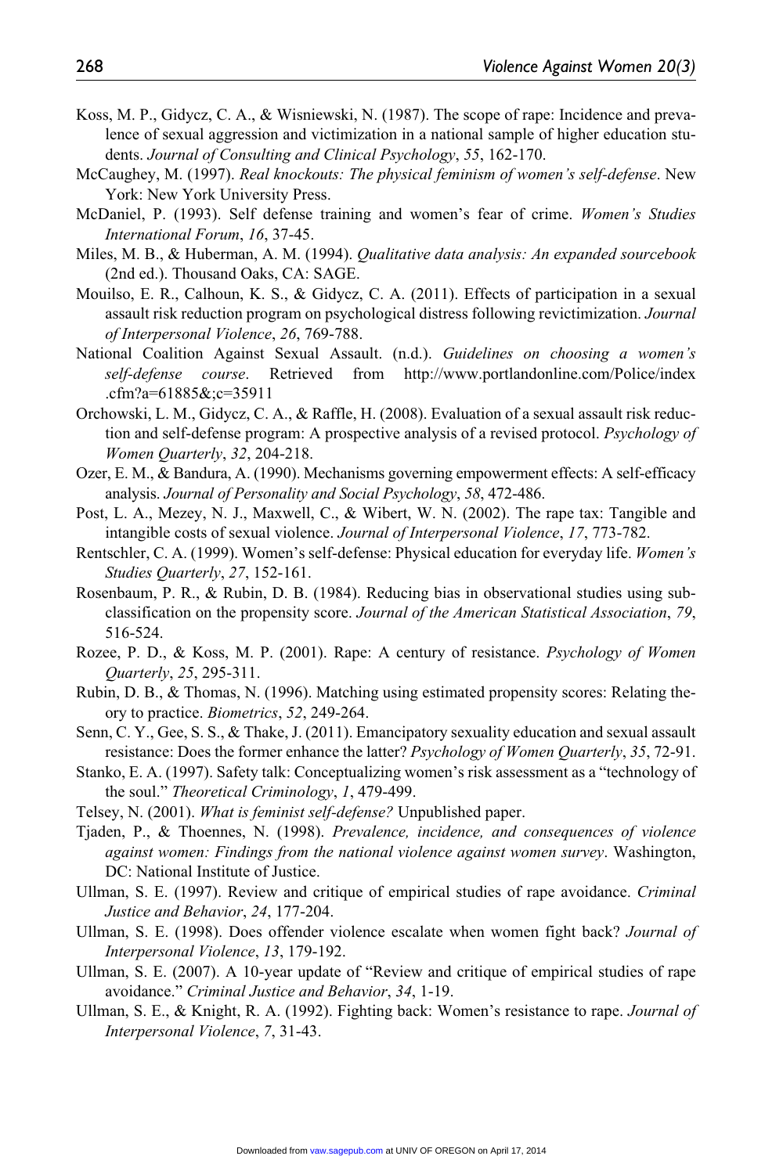- Koss, M. P., Gidycz, C. A., & Wisniewski, N. (1987). The scope of rape: Incidence and prevalence of sexual aggression and victimization in a national sample of higher education students. *Journal of Consulting and Clinical Psychology*, *55*, 162-170.
- McCaughey, M. (1997). *Real knockouts: The physical feminism of women's self-defense*. New York: New York University Press.
- McDaniel, P. (1993). Self defense training and women's fear of crime. *Women's Studies International Forum*, *16*, 37-45.
- Miles, M. B., & Huberman, A. M. (1994). *Qualitative data analysis: An expanded sourcebook* (2nd ed.). Thousand Oaks, CA: SAGE.
- Mouilso, E. R., Calhoun, K. S., & Gidycz, C. A. (2011). Effects of participation in a sexual assault risk reduction program on psychological distress following revictimization. *Journal of Interpersonal Violence*, *26*, 769-788.
- National Coalition Against Sexual Assault. (n.d.). *Guidelines on choosing a women's self-defense course*[. Retrieved from http://www.portlandonline.com/Police/index](http://www.portlandonline.com/Police/index.cfm?a=61885&;c=35911) .cfm?a=61885&;c=35911
- Orchowski, L. M., Gidycz, C. A., & Raffle, H. (2008). Evaluation of a sexual assault risk reduction and self-defense program: A prospective analysis of a revised protocol. *Psychology of Women Quarterly*, *32*, 204-218.
- Ozer, E. M., & Bandura, A. (1990). Mechanisms governing empowerment effects: A self-efficacy analysis. *Journal of Personality and Social Psychology*, *58*, 472-486.
- Post, L. A., Mezey, N. J., Maxwell, C., & Wibert, W. N. (2002). The rape tax: Tangible and intangible costs of sexual violence. *Journal of Interpersonal Violence*, *17*, 773-782.
- Rentschler, C. A. (1999). Women's self-defense: Physical education for everyday life. *Women's Studies Quarterly*, *27*, 152-161.
- Rosenbaum, P. R., & Rubin, D. B. (1984). Reducing bias in observational studies using subclassification on the propensity score. *Journal of the American Statistical Association*, *79*, 516-524.
- Rozee, P. D., & Koss, M. P. (2001). Rape: A century of resistance. *Psychology of Women Quarterly*, *25*, 295-311.
- Rubin, D. B., & Thomas, N. (1996). Matching using estimated propensity scores: Relating theory to practice. *Biometrics*, *52*, 249-264.
- Senn, C. Y., Gee, S. S., & Thake, J. (2011). Emancipatory sexuality education and sexual assault resistance: Does the former enhance the latter? *Psychology of Women Quarterly*, *35*, 72-91.
- Stanko, E. A. (1997). Safety talk: Conceptualizing women's risk assessment as a "technology of the soul." *Theoretical Criminology*, *1*, 479-499.

Telsey, N. (2001). *What is feminist self-defense?* Unpublished paper.

- Tjaden, P., & Thoennes, N. (1998). *Prevalence, incidence, and consequences of violence against women: Findings from the national violence against women survey*. Washington, DC: National Institute of Justice.
- Ullman, S. E. (1997). Review and critique of empirical studies of rape avoidance. *Criminal Justice and Behavior*, *24*, 177-204.
- Ullman, S. E. (1998). Does offender violence escalate when women fight back? *Journal of Interpersonal Violence*, *13*, 179-192.
- Ullman, S. E. (2007). A 10-year update of "Review and critique of empirical studies of rape avoidance." *Criminal Justice and Behavior*, *34*, 1-19.
- Ullman, S. E., & Knight, R. A. (1992). Fighting back: Women's resistance to rape. *Journal of Interpersonal Violence*, *7*, 31-43.